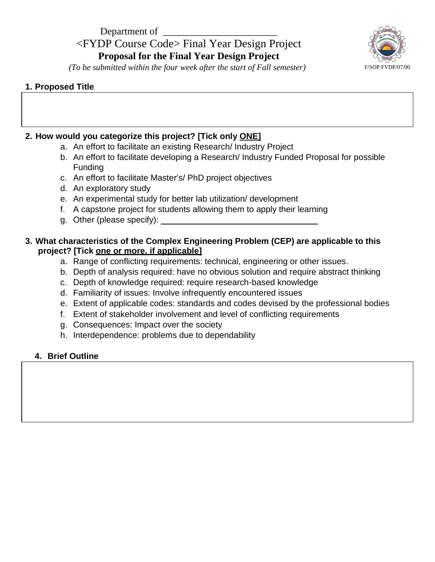# Department of <FYDP Course Code> Final Year Design Project **Proposal for the Final Year Design Project**



*(To be submitted within the four week after the start of Fall semester)* F/SOP FYDP/07/00

### **1. Proposed Title**

# **2. How would you categorize this project? [Tick only ONE]**

- a. An effort to facilitate an existing Research/ Industry Project
- b. An effort to facilitate developing a Research/ Industry Funded Proposal for possible Funding
- c. An effort to facilitate Master's/ PhD project objectives
- d. An exploratory study
- e. An experimental study for better lab utilization/ development
- f. A capstone project for students allowing them to apply their learning
- g. Other (please specify):

# **3. What characteristics of the Complex Engineering Problem (CEP) are applicable to this project? [Tick one or more, if applicable]**

- a. Range of conflicting requirements: technical, engineering or other issues.
- b. Depth of analysis required: have no obvious solution and require abstract thinking
- c. Depth of knowledge required: require research-based knowledge
- d. Familiarity of issues: Involve infrequently encountered issues
- e. Extent of applicable codes: standards and codes devised by the professional bodies
- f. Extent of stakeholder involvement and level of conflicting requirements
- g. Consequences: Impact over the society
- h. Interdependence: problems due to dependability

### **4. Brief Outline**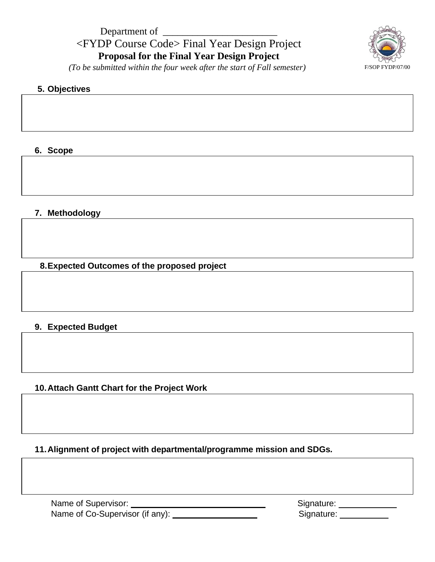

*(To be submitted within the four week after the start of Fall semester)* F/SOP FYDP/07/00

## **5. Objectives**

#### **6. Scope**

#### **7. Methodology**

**8.Expected Outcomes of the proposed project**

#### **9. Expected Budget**

#### **10.Attach Gantt Chart for the Project Work**

**11.Alignment of project with departmental/programme mission and SDGs***.*

| Name of Supervisor:             | Signature: |
|---------------------------------|------------|
| Name of Co-Supervisor (if any): | Signature: |

| Signature: |  |
|------------|--|
| Signature: |  |